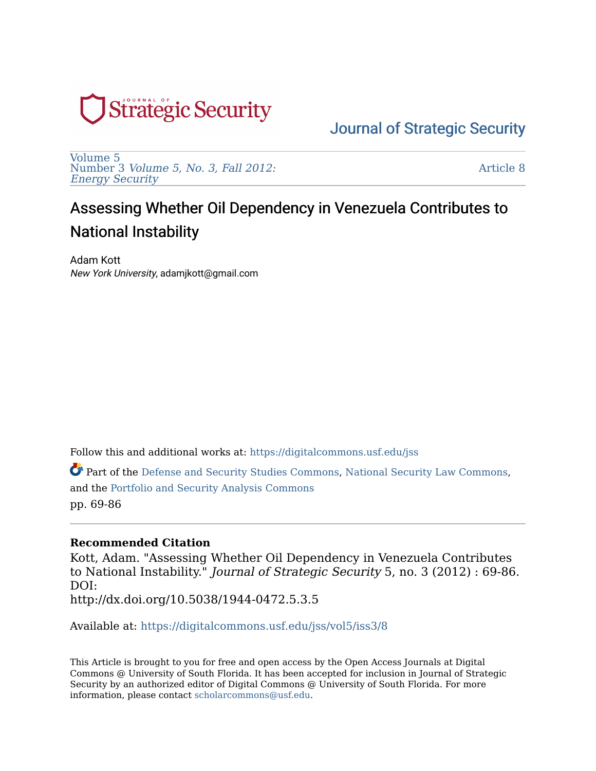

[Volume 5](https://digitalcommons.usf.edu/jss/vol5)  Number 3 [Volume 5, No. 3, Fall 2012:](https://digitalcommons.usf.edu/jss/vol5/iss3) [Energy Security](https://digitalcommons.usf.edu/jss/vol5/iss3)

[Article 8](https://digitalcommons.usf.edu/jss/vol5/iss3/8) 

# Assessing Whether Oil Dependency in Venezuela Contributes to National Instability

Adam Kott New York University, adamjkott@gmail.com

Follow this and additional works at: [https://digitalcommons.usf.edu/jss](https://digitalcommons.usf.edu/jss?utm_source=digitalcommons.usf.edu%2Fjss%2Fvol5%2Fiss3%2F8&utm_medium=PDF&utm_campaign=PDFCoverPages)

Part of the [Defense and Security Studies Commons,](http://network.bepress.com/hgg/discipline/394?utm_source=digitalcommons.usf.edu%2Fjss%2Fvol5%2Fiss3%2F8&utm_medium=PDF&utm_campaign=PDFCoverPages) [National Security Law Commons,](http://network.bepress.com/hgg/discipline/1114?utm_source=digitalcommons.usf.edu%2Fjss%2Fvol5%2Fiss3%2F8&utm_medium=PDF&utm_campaign=PDFCoverPages) and the [Portfolio and Security Analysis Commons](http://network.bepress.com/hgg/discipline/640?utm_source=digitalcommons.usf.edu%2Fjss%2Fvol5%2Fiss3%2F8&utm_medium=PDF&utm_campaign=PDFCoverPages)  pp. 69-86

#### **Recommended Citation**

Kott, Adam. "Assessing Whether Oil Dependency in Venezuela Contributes to National Instability." Journal of Strategic Security 5, no. 3 (2012) : 69-86. DOI: http://dx.doi.org/10.5038/1944-0472.5.3.5

Available at: [https://digitalcommons.usf.edu/jss/vol5/iss3/8](https://digitalcommons.usf.edu/jss/vol5/iss3/8?utm_source=digitalcommons.usf.edu%2Fjss%2Fvol5%2Fiss3%2F8&utm_medium=PDF&utm_campaign=PDFCoverPages) 

This Article is brought to you for free and open access by the Open Access Journals at Digital Commons @ University of South Florida. It has been accepted for inclusion in Journal of Strategic Security by an authorized editor of Digital Commons @ University of South Florida. For more information, please contact [scholarcommons@usf.edu.](mailto:scholarcommons@usf.edu)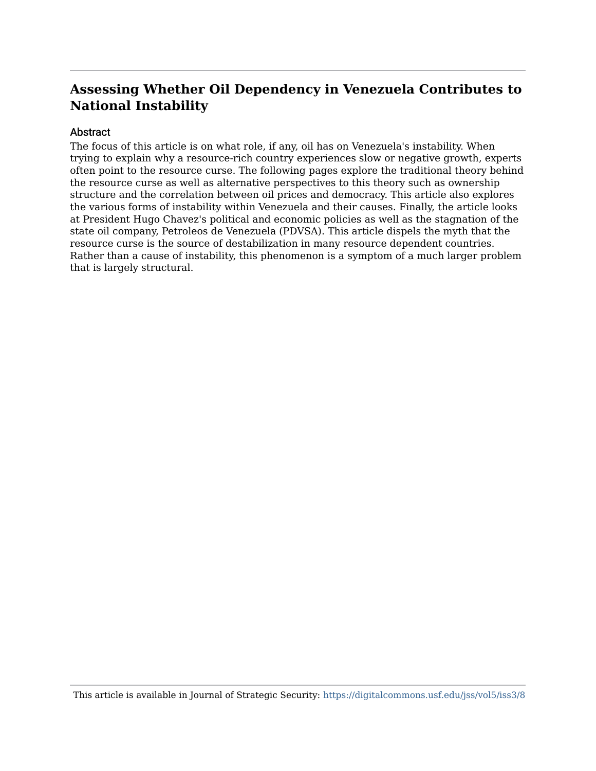#### Abstract

The focus of this article is on what role, if any, oil has on Venezuela's instability. When trying to explain why a resource-rich country experiences slow or negative growth, experts often point to the resource curse. The following pages explore the traditional theory behind the resource curse as well as alternative perspectives to this theory such as ownership structure and the correlation between oil prices and democracy. This article also explores the various forms of instability within Venezuela and their causes. Finally, the article looks at President Hugo Chavez's political and economic policies as well as the stagnation of the state oil company, Petroleos de Venezuela (PDVSA). This article dispels the myth that the resource curse is the source of destabilization in many resource dependent countries. Rather than a cause of instability, this phenomenon is a symptom of a much larger problem that is largely structural.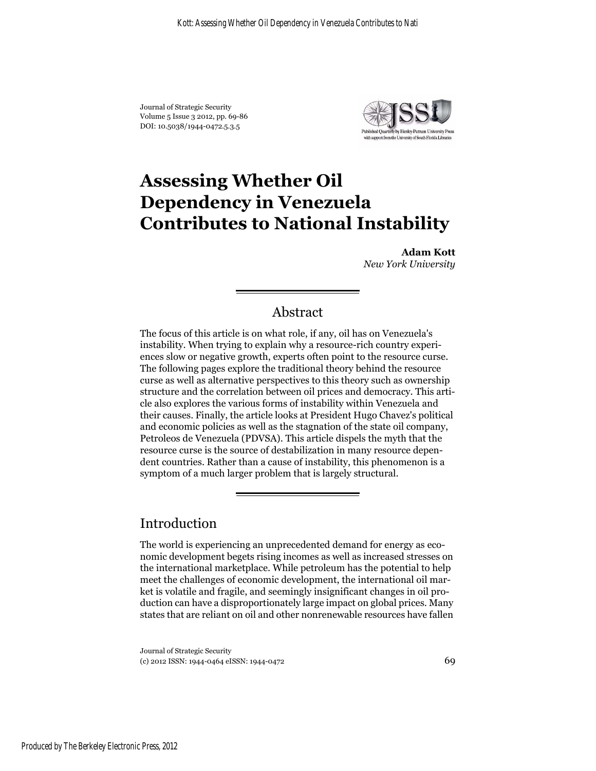Journal of Strategic Security Volume 5 Issue 3 2012, pp. 69-86 DOI: 10.5038/1944-0472.5.3.5



# **Assessing Whether Oil Dependency in Venezuela Contributes to National Instability**

**Adam Kott** *New York University*

## Abstract

The focus of this article is on what role, if any, oil has on Venezuela's instability. When trying to explain why a resource-rich country experiences slow or negative growth, experts often point to the resource curse. The following pages explore the traditional theory behind the resource curse as well as alternative perspectives to this theory such as ownership structure and the correlation between oil prices and democracy. This article also explores the various forms of instability within Venezuela and their causes. Finally, the article looks at President Hugo Chavez's political and economic policies as well as the stagnation of the state oil company, Petroleos de Venezuela (PDVSA). This article dispels the myth that the resource curse is the source of destabilization in many resource dependent countries. Rather than a cause of instability, this phenomenon is a symptom of a much larger problem that is largely structural.

## Introduction

The world is experiencing an unprecedented demand for energy as economic development begets rising incomes as well as increased stresses on the international marketplace. While petroleum has the potential to help meet the challenges of economic development, the international oil market is volatile and fragile, and seemingly insignificant changes in oil production can have a disproportionately large impact on global prices. Many states that are reliant on oil and other nonrenewable resources have fallen

Journal of Strategic Security (c) 2012 ISSN: 1944-0464 eISSN: 1944-0472 69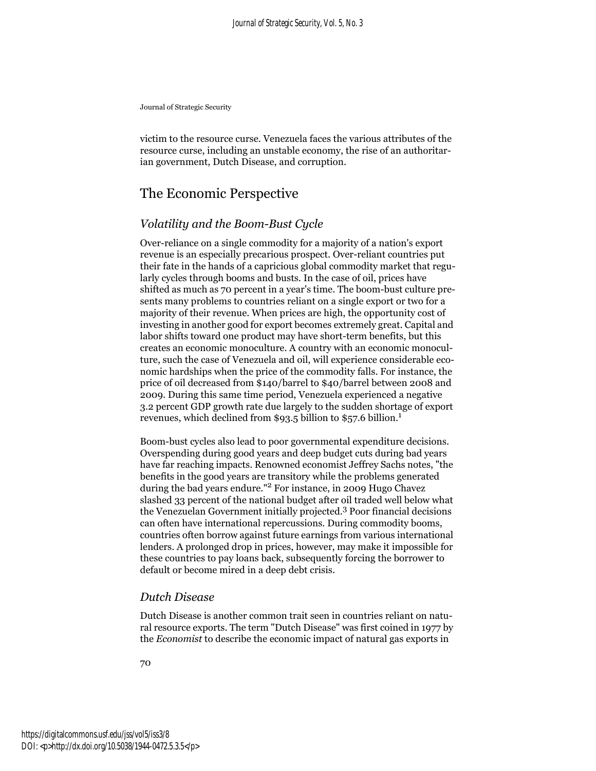victim to the resource curse. Venezuela faces the various attributes of the resource curse, including an unstable economy, the rise of an authoritarian government, Dutch Disease, and corruption.

## The Economic Perspective

#### *Volatility and the Boom-Bust Cycle*

Over-reliance on a single commodity for a majority of a nation's export revenue is an especially precarious prospect. Over-reliant countries put their fate in the hands of a capricious global commodity market that regularly cycles through booms and busts. In the case of oil, prices have shifted as much as 70 percent in a year's time. The boom-bust culture presents many problems to countries reliant on a single export or two for a majority of their revenue. When prices are high, the opportunity cost of investing in another good for export becomes extremely great. Capital and labor shifts toward one product may have short-term benefits, but this creates an economic monoculture. A country with an economic monoculture, such the case of Venezuela and oil, will experience considerable economic hardships when the price of the commodity falls. For instance, the price of oil decreased from \$140/barrel to \$40/barrel between 2008 and 2009. During this same time period, Venezuela experienced a negative 3.2 percent GDP growth rate due largely to the sudden shortage of export revenues, which declined from \$93.5 billion to \$57.6 billion.<sup>1</sup>

Boom-bust cycles also lead to poor governmental expenditure decisions. Overspending during good years and deep budget cuts during bad years have far reaching impacts. Renowned economist Jeffrey Sachs notes, "the benefits in the good years are transitory while the problems generated during the bad years endure."2 For instance, in 2009 Hugo Chavez slashed 33 percent of the national budget after oil traded well below what the Venezuelan Government initially projected.3 Poor financial decisions can often have international repercussions. During commodity booms, countries often borrow against future earnings from various international lenders. A prolonged drop in prices, however, may make it impossible for these countries to pay loans back, subsequently forcing the borrower to default or become mired in a deep debt crisis.

#### *Dutch Disease*

Dutch Disease is another common trait seen in countries reliant on natural resource exports. The term "Dutch Disease" was first coined in 1977 by the *Economist* to describe the economic impact of natural gas exports in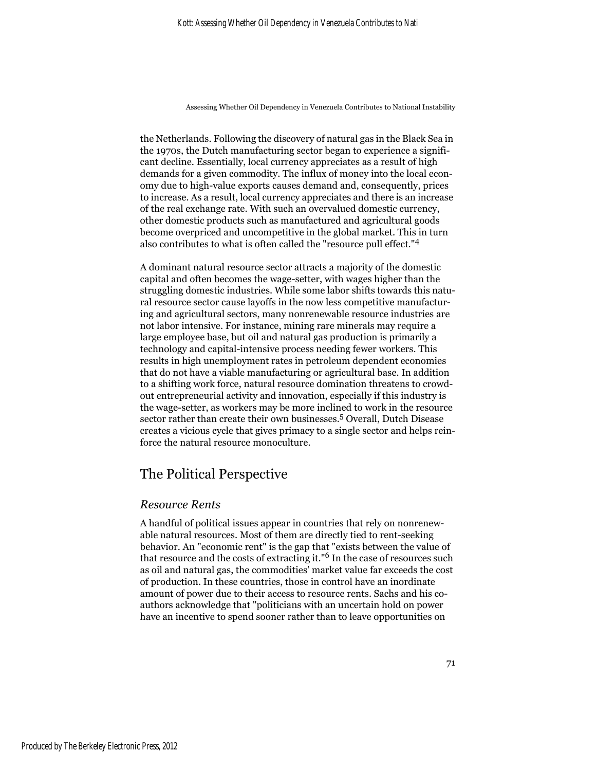the Netherlands. Following the discovery of natural gas in the Black Sea in the 1970s, the Dutch manufacturing sector began to experience a significant decline. Essentially, local currency appreciates as a result of high demands for a given commodity. The influx of money into the local economy due to high-value exports causes demand and, consequently, prices to increase. As a result, local currency appreciates and there is an increase of the real exchange rate. With such an overvalued domestic currency, other domestic products such as manufactured and agricultural goods become overpriced and uncompetitive in the global market. This in turn also contributes to what is often called the "resource pull effect."<sup>4</sup>

A dominant natural resource sector attracts a majority of the domestic capital and often becomes the wage-setter, with wages higher than the struggling domestic industries. While some labor shifts towards this natural resource sector cause layoffs in the now less competitive manufacturing and agricultural sectors, many nonrenewable resource industries are not labor intensive. For instance, mining rare minerals may require a large employee base, but oil and natural gas production is primarily a technology and capital-intensive process needing fewer workers. This results in high unemployment rates in petroleum dependent economies that do not have a viable manufacturing or agricultural base. In addition to a shifting work force, natural resource domination threatens to crowdout entrepreneurial activity and innovation, especially if this industry is the wage-setter, as workers may be more inclined to work in the resource sector rather than create their own businesses.5 Overall, Dutch Disease creates a vicious cycle that gives primacy to a single sector and helps reinforce the natural resource monoculture.

## The Political Perspective

#### *Resource Rents*

A handful of political issues appear in countries that rely on nonrenewable natural resources. Most of them are directly tied to rent-seeking behavior. An "economic rent" is the gap that "exists between the value of that resource and the costs of extracting it."6 In the case of resources such as oil and natural gas, the commodities' market value far exceeds the cost of production. In these countries, those in control have an inordinate amount of power due to their access to resource rents. Sachs and his coauthors acknowledge that "politicians with an uncertain hold on power have an incentive to spend sooner rather than to leave opportunities on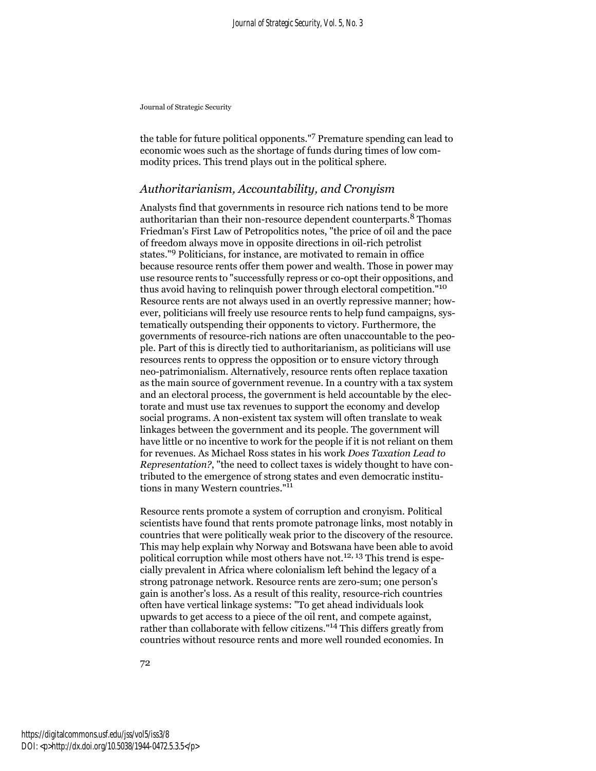the table for future political opponents."7 Premature spending can lead to economic woes such as the shortage of funds during times of low commodity prices. This trend plays out in the political sphere.

#### *Authoritarianism, Accountability, and Cronyism*

Analysts find that governments in resource rich nations tend to be more authoritarian than their non-resource dependent counterparts.<sup>8</sup> Thomas Friedman's First Law of Petropolitics notes, "the price of oil and the pace of freedom always move in opposite directions in oil-rich petrolist states."9 Politicians, for instance, are motivated to remain in office because resource rents offer them power and wealth. Those in power may use resource rents to "successfully repress or co-opt their oppositions, and thus avoid having to relinquish power through electoral competition."<sup>10</sup> Resource rents are not always used in an overtly repressive manner; however, politicians will freely use resource rents to help fund campaigns, systematically outspending their opponents to victory. Furthermore, the governments of resource-rich nations are often unaccountable to the people. Part of this is directly tied to authoritarianism, as politicians will use resources rents to oppress the opposition or to ensure victory through neo-patrimonialism. Alternatively, resource rents often replace taxation as the main source of government revenue. In a country with a tax system and an electoral process, the government is held accountable by the electorate and must use tax revenues to support the economy and develop social programs. A non-existent tax system will often translate to weak linkages between the government and its people. The government will have little or no incentive to work for the people if it is not reliant on them for revenues. As Michael Ross states in his work *Does Taxation Lead to Representation?*, "the need to collect taxes is widely thought to have contributed to the emergence of strong states and even democratic institutions in many Western countries."<sup>11</sup>

Resource rents promote a system of corruption and cronyism. Political scientists have found that rents promote patronage links, most notably in countries that were politically weak prior to the discovery of the resource. This may help explain why Norway and Botswana have been able to avoid political corruption while most others have not.<sup>12, 13</sup> This trend is especially prevalent in Africa where colonialism left behind the legacy of a strong patronage network. Resource rents are zero-sum; one person's gain is another's loss. As a result of this reality, resource-rich countries often have vertical linkage systems: "To get ahead individuals look upwards to get access to a piece of the oil rent, and compete against, rather than collaborate with fellow citizens."14 This differs greatly from countries without resource rents and more well rounded economies. In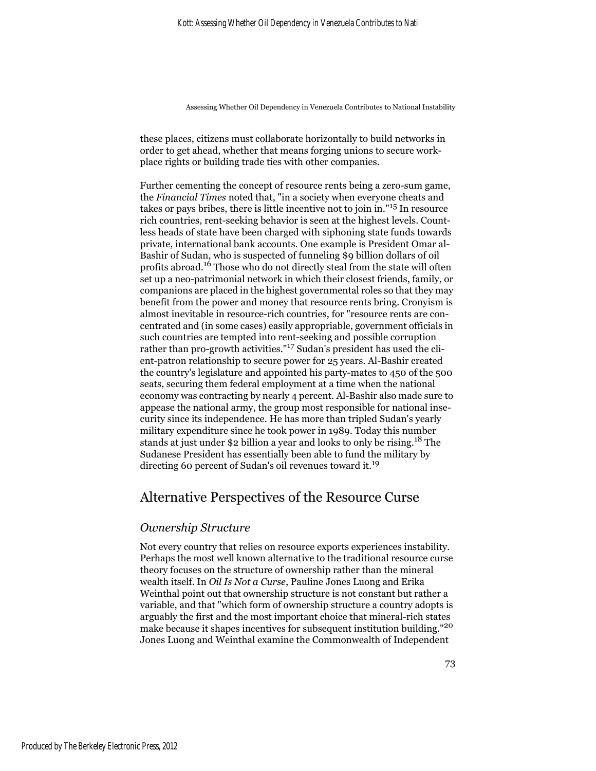these places, citizens must collaborate horizontally to build networks in order to get ahead, whether that means forging unions to secure workplace rights or building trade ties with other companies.

Further cementing the concept of resource rents being a zero-sum game, the *Financial Times* noted that, "in a society when everyone cheats and takes or pays bribes, there is little incentive not to join in."15 In resource rich countries, rent-seeking behavior is seen at the highest levels. Countless heads of state have been charged with siphoning state funds towards private, international bank accounts. One example is President Omar al-Bashir of Sudan, who is suspected of funneling \$9 billion dollars of oil profits abroad.16 Those who do not directly steal from the state will often set up a neo-patrimonial network in which their closest friends, family, or companions are placed in the highest governmental roles so that they may benefit from the power and money that resource rents bring. Cronyism is almost inevitable in resource-rich countries, for "resource rents are concentrated and (in some cases) easily appropriable, government officials in such countries are tempted into rent-seeking and possible corruption rather than pro-growth activities."17 Sudan's president has used the client-patron relationship to secure power for 25 years. Al-Bashir created the country's legislature and appointed his party-mates to 450 of the 500 seats, securing them federal employment at a time when the national economy was contracting by nearly 4 percent. Al-Bashir also made sure to appease the national army, the group most responsible for national insecurity since its independence. He has more than tripled Sudan's yearly military expenditure since he took power in 1989. Today this number stands at just under \$2 billion a year and looks to only be rising.18 The Sudanese President has essentially been able to fund the military by directing 60 percent of Sudan's oil revenues toward it.<sup>19</sup>

## Alternative Perspectives of the Resource Curse

#### *Ownership Structure*

Not every country that relies on resource exports experiences instability. Perhaps the most well known alternative to the traditional resource curse theory focuses on the structure of ownership rather than the mineral wealth itself. In *Oil Is Not a Curse*, Pauline Jones Luong and Erika Weinthal point out that ownership structure is not constant but rather a variable, and that "which form of ownership structure a country adopts is arguably the first and the most important choice that mineral-rich states make because it shapes incentives for subsequent institution building."<sup>20</sup> Jones Luong and Weinthal examine the Commonwealth of Independent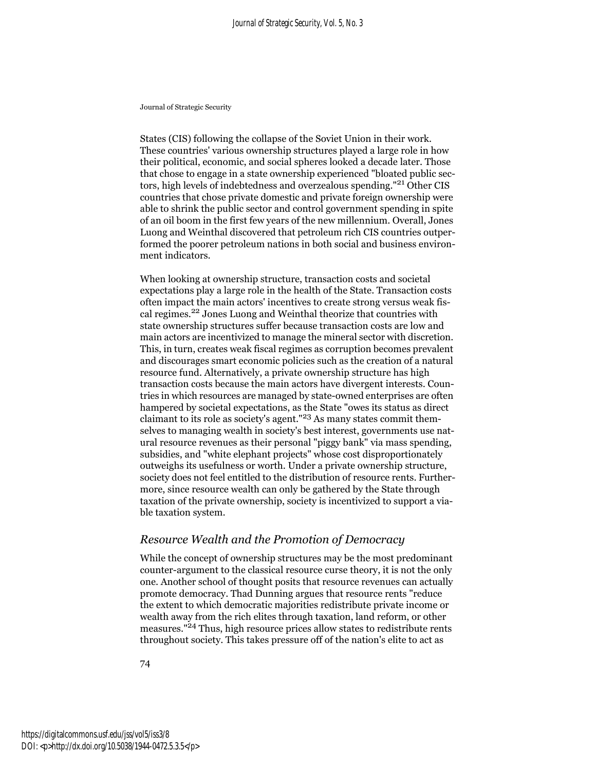States (CIS) following the collapse of the Soviet Union in their work. These countries' various ownership structures played a large role in how their political, economic, and social spheres looked a decade later. Those that chose to engage in a state ownership experienced "bloated public sectors, high levels of indebtedness and overzealous spending."21 Other CIS countries that chose private domestic and private foreign ownership were able to shrink the public sector and control government spending in spite of an oil boom in the first few years of the new millennium. Overall, Jones Luong and Weinthal discovered that petroleum rich CIS countries outperformed the poorer petroleum nations in both social and business environment indicators.

When looking at ownership structure, transaction costs and societal expectations play a large role in the health of the State. Transaction costs often impact the main actors' incentives to create strong versus weak fiscal regimes.22 Jones Luong and Weinthal theorize that countries with state ownership structures suffer because transaction costs are low and main actors are incentivized to manage the mineral sector with discretion. This, in turn, creates weak fiscal regimes as corruption becomes prevalent and discourages smart economic policies such as the creation of a natural resource fund. Alternatively, a private ownership structure has high transaction costs because the main actors have divergent interests. Countries in which resources are managed by state-owned enterprises are often hampered by societal expectations, as the State "owes its status as direct claimant to its role as society's agent."23 As many states commit themselves to managing wealth in society's best interest, governments use natural resource revenues as their personal "piggy bank" via mass spending, subsidies, and "white elephant projects" whose cost disproportionately outweighs its usefulness or worth. Under a private ownership structure, society does not feel entitled to the distribution of resource rents. Furthermore, since resource wealth can only be gathered by the State through taxation of the private ownership, society is incentivized to support a viable taxation system.

#### *Resource Wealth and the Promotion of Democracy*

While the concept of ownership structures may be the most predominant counter-argument to the classical resource curse theory, it is not the only one. Another school of thought posits that resource revenues can actually promote democracy. Thad Dunning argues that resource rents "reduce the extent to which democratic majorities redistribute private income or wealth away from the rich elites through taxation, land reform, or other measures."<sup>24</sup> Thus, high resource prices allow states to redistribute rents throughout society. This takes pressure off of the nation's elite to act as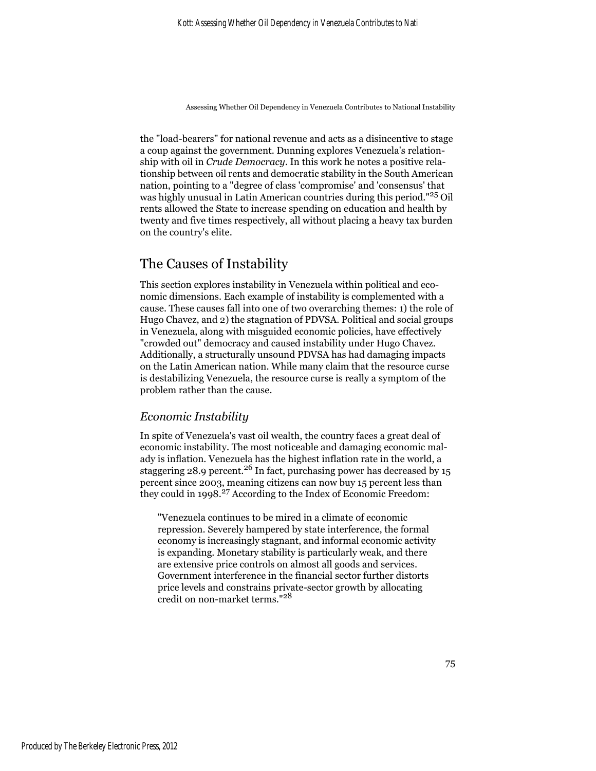the "load-bearers" for national revenue and acts as a disincentive to stage a coup against the government. Dunning explores Venezuela's relationship with oil in *Crude Democracy*. In this work he notes a positive relationship between oil rents and democratic stability in the South American nation, pointing to a "degree of class 'compromise' and 'consensus' that was highly unusual in Latin American countries during this period."25 Oil rents allowed the State to increase spending on education and health by twenty and five times respectively, all without placing a heavy tax burden on the country's elite.

## The Causes of Instability

This section explores instability in Venezuela within political and economic dimensions. Each example of instability is complemented with a cause. These causes fall into one of two overarching themes: 1) the role of Hugo Chavez, and 2) the stagnation of PDVSA. Political and social groups in Venezuela, along with misguided economic policies, have effectively "crowded out" democracy and caused instability under Hugo Chavez. Additionally, a structurally unsound PDVSA has had damaging impacts on the Latin American nation. While many claim that the resource curse is destabilizing Venezuela, the resource curse is really a symptom of the problem rather than the cause.

#### *Economic Instability*

In spite of Venezuela's vast oil wealth, the country faces a great deal of economic instability. The most noticeable and damaging economic malady is inflation. Venezuela has the highest inflation rate in the world, a staggering 28.9 percent.<sup>26</sup> In fact, purchasing power has decreased by 15 percent since 2003, meaning citizens can now buy 15 percent less than they could in 1998.<sup>27</sup> According to the Index of Economic Freedom:

"Venezuela continues to be mired in a climate of economic repression. Severely hampered by state interference, the formal economy is increasingly stagnant, and informal economic activity is expanding. Monetary stability is particularly weak, and there are extensive price controls on almost all goods and services. Government interference in the financial sector further distorts price levels and constrains private-sector growth by allocating credit on non-market terms."<sup>28</sup>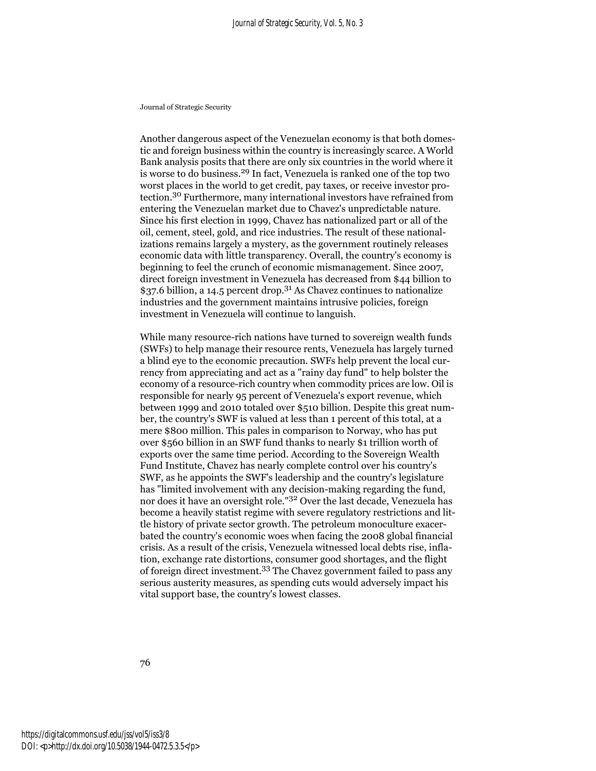Another dangerous aspect of the Venezuelan economy is that both domestic and foreign business within the country is increasingly scarce. A World Bank analysis posits that there are only six countries in the world where it is worse to do business.29 In fact, Venezuela is ranked one of the top two worst places in the world to get credit, pay taxes, or receive investor protection.30 Furthermore, many international investors have refrained from entering the Venezuelan market due to Chavez's unpredictable nature. Since his first election in 1999, Chavez has nationalized part or all of the oil, cement, steel, gold, and rice industries. The result of these nationalizations remains largely a mystery, as the government routinely releases economic data with little transparency. Overall, the country's economy is beginning to feel the crunch of economic mismanagement. Since 2007, direct foreign investment in Venezuela has decreased from \$44 billion to \$37.6 billion, a 14.5 percent drop.31 As Chavez continues to nationalize industries and the government maintains intrusive policies, foreign investment in Venezuela will continue to languish.

While many resource-rich nations have turned to sovereign wealth funds (SWFs) to help manage their resource rents, Venezuela has largely turned a blind eye to the economic precaution. SWFs help prevent the local currency from appreciating and act as a "rainy day fund" to help bolster the economy of a resource-rich country when commodity prices are low. Oil is responsible for nearly 95 percent of Venezuela's export revenue, which between 1999 and 2010 totaled over \$510 billion. Despite this great number, the country's SWF is valued at less than 1 percent of this total, at a mere \$800 million. This pales in comparison to Norway, who has put over \$560 billion in an SWF fund thanks to nearly \$1 trillion worth of exports over the same time period. According to the Sovereign Wealth Fund Institute, Chavez has nearly complete control over his country's SWF, as he appoints the SWF's leadership and the country's legislature has "limited involvement with any decision-making regarding the fund, nor does it have an oversight role."32 Over the last decade, Venezuela has become a heavily statist regime with severe regulatory restrictions and little history of private sector growth. The petroleum monoculture exacerbated the country's economic woes when facing the 2008 global financial crisis. As a result of the crisis, Venezuela witnessed local debts rise, inflation, exchange rate distortions, consumer good shortages, and the flight of foreign direct investment.33 The Chavez government failed to pass any serious austerity measures, as spending cuts would adversely impact his vital support base, the country's lowest classes.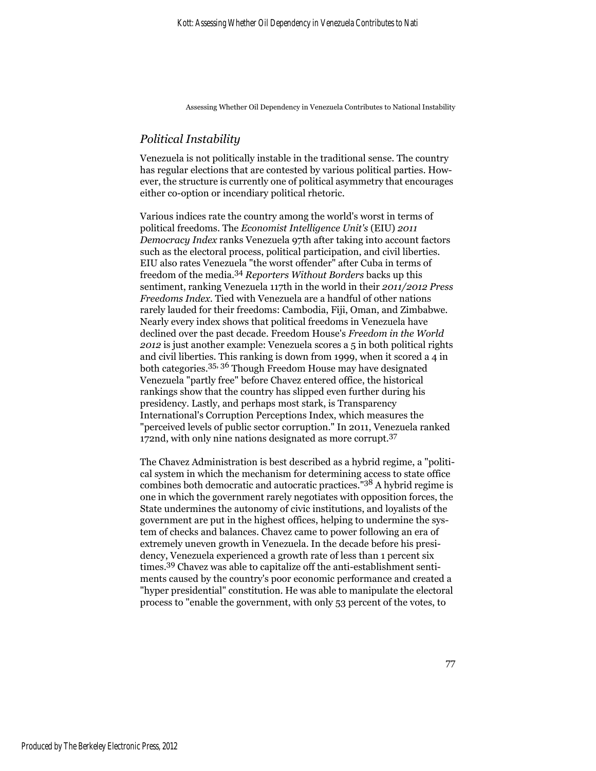#### *Political Instability*

Venezuela is not politically instable in the traditional sense. The country has regular elections that are contested by various political parties. However, the structure is currently one of political asymmetry that encourages either co-option or incendiary political rhetoric.

Various indices rate the country among the world's worst in terms of political freedoms. The *Economist Intelligence Unit's* (EIU) *2011 Democracy Index* ranks Venezuela 97th after taking into account factors such as the electoral process, political participation, and civil liberties. EIU also rates Venezuela "the worst offender" after Cuba in terms of freedom of the media.<sup>34</sup> *Reporters Without Borders* backs up this sentiment, ranking Venezuela 117th in the world in their *2011/2012 Press Freedoms Index*. Tied with Venezuela are a handful of other nations rarely lauded for their freedoms: Cambodia, Fiji, Oman, and Zimbabwe. Nearly every index shows that political freedoms in Venezuela have declined over the past decade. Freedom House's *Freedom in the World 2012* is just another example: Venezuela scores a 5 in both political rights and civil liberties. This ranking is down from 1999, when it scored a 4 in both categories.35, 36 Though Freedom House may have designated Venezuela "partly free" before Chavez entered office, the historical rankings show that the country has slipped even further during his presidency. Lastly, and perhaps most stark, is Transparency International's Corruption Perceptions Index, which measures the "perceived levels of public sector corruption." In 2011, Venezuela ranked 172nd, with only nine nations designated as more corrupt.<sup>37</sup>

The Chavez Administration is best described as a hybrid regime, a "political system in which the mechanism for determining access to state office combines both democratic and autocratic practices."38 A hybrid regime is one in which the government rarely negotiates with opposition forces, the State undermines the autonomy of civic institutions, and loyalists of the government are put in the highest offices, helping to undermine the system of checks and balances. Chavez came to power following an era of extremely uneven growth in Venezuela. In the decade before his presidency, Venezuela experienced a growth rate of less than 1 percent six times.39 Chavez was able to capitalize off the anti-establishment sentiments caused by the country's poor economic performance and created a "hyper presidential" constitution. He was able to manipulate the electoral process to "enable the government, with only 53 percent of the votes, to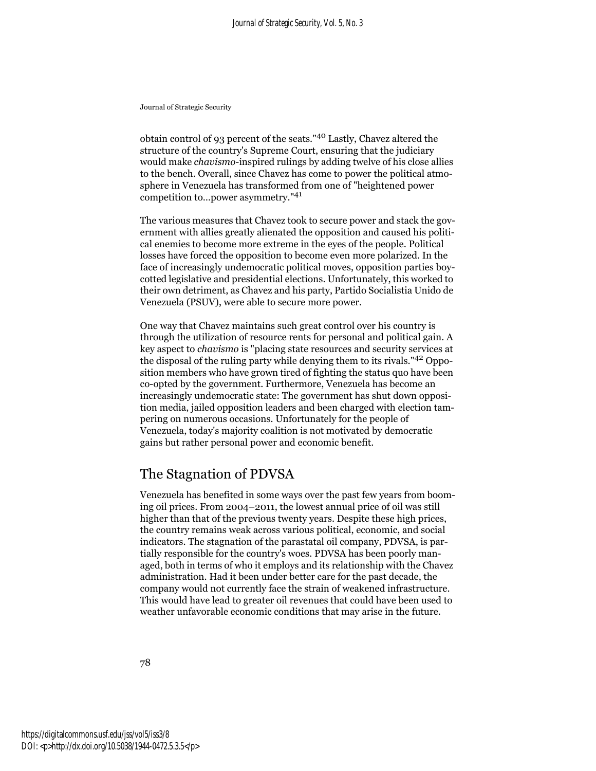obtain control of 93 percent of the seats."40 Lastly, Chavez altered the structure of the country's Supreme Court, ensuring that the judiciary would make *chavismo*-inspired rulings by adding twelve of his close allies to the bench. Overall, since Chavez has come to power the political atmosphere in Venezuela has transformed from one of "heightened power competition to…power asymmetry."<sup>41</sup>

The various measures that Chavez took to secure power and stack the government with allies greatly alienated the opposition and caused his political enemies to become more extreme in the eyes of the people. Political losses have forced the opposition to become even more polarized. In the face of increasingly undemocratic political moves, opposition parties boycotted legislative and presidential elections. Unfortunately, this worked to their own detriment, as Chavez and his party, Partido Socialistia Unido de Venezuela (PSUV), were able to secure more power.

One way that Chavez maintains such great control over his country is through the utilization of resource rents for personal and political gain. A key aspect to *chavismo* is "placing state resources and security services at the disposal of the ruling party while denying them to its rivals."42 Opposition members who have grown tired of fighting the status quo have been co-opted by the government. Furthermore, Venezuela has become an increasingly undemocratic state: The government has shut down opposition media, jailed opposition leaders and been charged with election tampering on numerous occasions. Unfortunately for the people of Venezuela, today's majority coalition is not motivated by democratic gains but rather personal power and economic benefit.

## The Stagnation of PDVSA

Venezuela has benefited in some ways over the past few years from booming oil prices. From 2004–2011, the lowest annual price of oil was still higher than that of the previous twenty years. Despite these high prices, the country remains weak across various political, economic, and social indicators. The stagnation of the parastatal oil company, PDVSA, is partially responsible for the country's woes. PDVSA has been poorly managed, both in terms of who it employs and its relationship with the Chavez administration. Had it been under better care for the past decade, the company would not currently face the strain of weakened infrastructure. This would have lead to greater oil revenues that could have been used to weather unfavorable economic conditions that may arise in the future.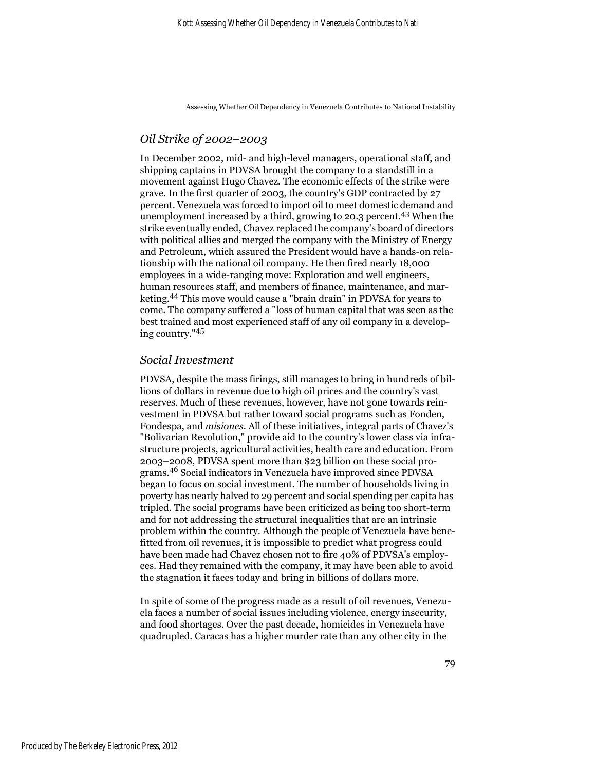#### *Oil Strike of 2002–2003*

In December 2002, mid- and high-level managers, operational staff, and shipping captains in PDVSA brought the company to a standstill in a movement against Hugo Chavez. The economic effects of the strike were grave. In the first quarter of 2003, the country's GDP contracted by 27 percent. Venezuela was forced to import oil to meet domestic demand and unemployment increased by a third, growing to 20.3 percent.43 When the strike eventually ended, Chavez replaced the company's board of directors with political allies and merged the company with the Ministry of Energy and Petroleum, which assured the President would have a hands-on relationship with the national oil company. He then fired nearly 18,000 employees in a wide-ranging move: Exploration and well engineers, human resources staff, and members of finance, maintenance, and marketing.44 This move would cause a "brain drain" in PDVSA for years to come. The company suffered a "loss of human capital that was seen as the best trained and most experienced staff of any oil company in a developing country."<sup>45</sup>

#### *Social Investment*

PDVSA, despite the mass firings, still manages to bring in hundreds of billions of dollars in revenue due to high oil prices and the country's vast reserves. Much of these revenues, however, have not gone towards reinvestment in PDVSA but rather toward social programs such as Fonden, Fondespa, and *misiones*. All of these initiatives, integral parts of Chavez's "Bolivarian Revolution," provide aid to the country's lower class via infrastructure projects, agricultural activities, health care and education. From 2003–2008, PDVSA spent more than \$23 billion on these social programs.46 Social indicators in Venezuela have improved since PDVSA began to focus on social investment. The number of households living in poverty has nearly halved to 29 percent and social spending per capita has tripled. The social programs have been criticized as being too short-term and for not addressing the structural inequalities that are an intrinsic problem within the country. Although the people of Venezuela have benefitted from oil revenues, it is impossible to predict what progress could have been made had Chavez chosen not to fire 40% of PDVSA's employees. Had they remained with the company, it may have been able to avoid the stagnation it faces today and bring in billions of dollars more.

In spite of some of the progress made as a result of oil revenues, Venezuela faces a number of social issues including violence, energy insecurity, and food shortages. Over the past decade, homicides in Venezuela have quadrupled. Caracas has a higher murder rate than any other city in the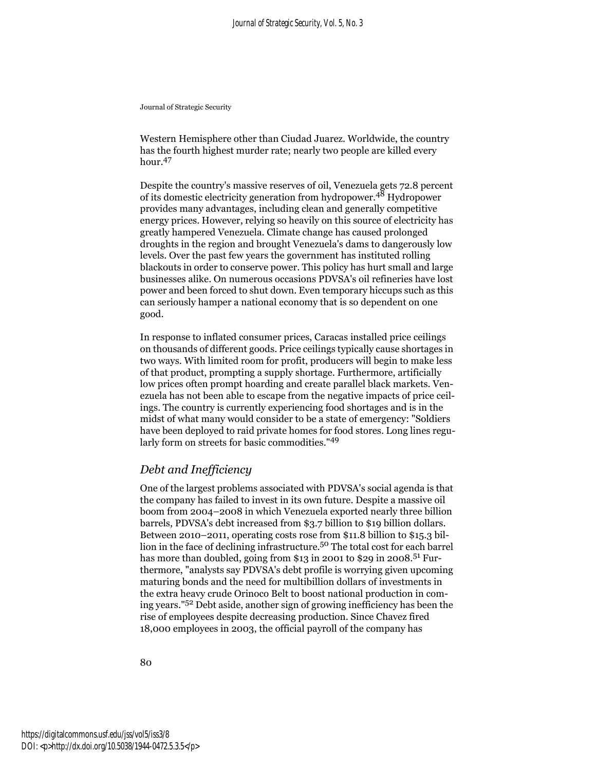Western Hemisphere other than Ciudad Juarez. Worldwide, the country has the fourth highest murder rate; nearly two people are killed every hour.<sup>47</sup>

Despite the country's massive reserves of oil, Venezuela gets 72.8 percent of its domestic electricity generation from hydropower.48 Hydropower provides many advantages, including clean and generally competitive energy prices. However, relying so heavily on this source of electricity has greatly hampered Venezuela. Climate change has caused prolonged droughts in the region and brought Venezuela's dams to dangerously low levels. Over the past few years the government has instituted rolling blackouts in order to conserve power. This policy has hurt small and large businesses alike. On numerous occasions PDVSA's oil refineries have lost power and been forced to shut down. Even temporary hiccups such as this can seriously hamper a national economy that is so dependent on one good.

In response to inflated consumer prices, Caracas installed price ceilings on thousands of different goods. Price ceilings typically cause shortages in two ways. With limited room for profit, producers will begin to make less of that product, prompting a supply shortage. Furthermore, artificially low prices often prompt hoarding and create parallel black markets. Venezuela has not been able to escape from the negative impacts of price ceilings. The country is currently experiencing food shortages and is in the midst of what many would consider to be a state of emergency: "Soldiers have been deployed to raid private homes for food stores. Long lines regularly form on streets for basic commodities."<sup>49</sup>

#### *Debt and Inefficiency*

One of the largest problems associated with PDVSA's social agenda is that the company has failed to invest in its own future. Despite a massive oil boom from 2004–2008 in which Venezuela exported nearly three billion barrels, PDVSA's debt increased from \$3.7 billion to \$19 billion dollars. Between 2010–2011, operating costs rose from \$11.8 billion to \$15.3 billion in the face of declining infrastructure.50 The total cost for each barrel has more than doubled, going from \$13 in 2001 to \$29 in 2008.<sup>51</sup> Furthermore, "analysts say PDVSA's debt profile is worrying given upcoming maturing bonds and the need for multibillion dollars of investments in the extra heavy crude Orinoco Belt to boost national production in coming years."52 Debt aside, another sign of growing inefficiency has been the rise of employees despite decreasing production. Since Chavez fired 18,000 employees in 2003, the official payroll of the company has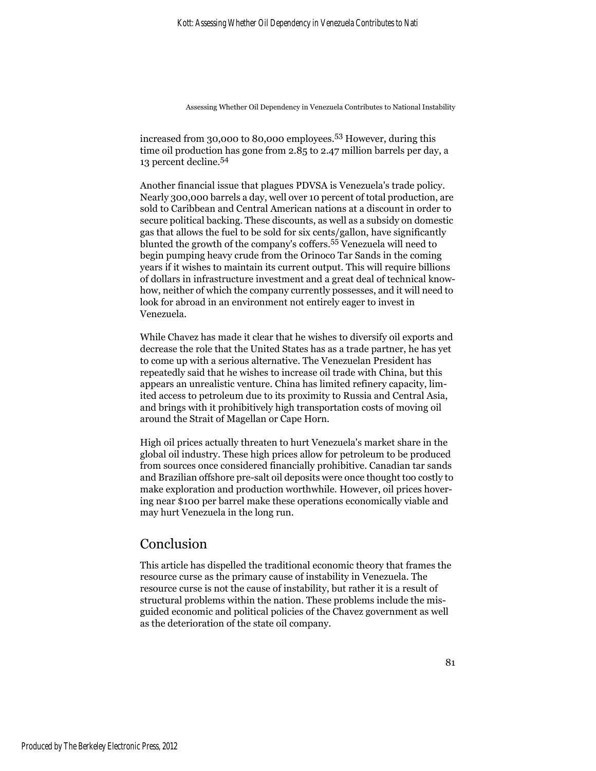increased from 30,000 to 80,000 employees.53 However, during this time oil production has gone from 2.85 to 2.47 million barrels per day, a 13 percent decline.<sup>54</sup>

Another financial issue that plagues PDVSA is Venezuela's trade policy. Nearly 300,000 barrels a day, well over 10 percent of total production, are sold to Caribbean and Central American nations at a discount in order to secure political backing. These discounts, as well as a subsidy on domestic gas that allows the fuel to be sold for six cents/gallon, have significantly blunted the growth of the company's coffers.55 Venezuela will need to begin pumping heavy crude from the Orinoco Tar Sands in the coming years if it wishes to maintain its current output. This will require billions of dollars in infrastructure investment and a great deal of technical knowhow, neither of which the company currently possesses, and it will need to look for abroad in an environment not entirely eager to invest in Venezuela.

While Chavez has made it clear that he wishes to diversify oil exports and decrease the role that the United States has as a trade partner, he has yet to come up with a serious alternative. The Venezuelan President has repeatedly said that he wishes to increase oil trade with China, but this appears an unrealistic venture. China has limited refinery capacity, limited access to petroleum due to its proximity to Russia and Central Asia, and brings with it prohibitively high transportation costs of moving oil around the Strait of Magellan or Cape Horn.

High oil prices actually threaten to hurt Venezuela's market share in the global oil industry. These high prices allow for petroleum to be produced from sources once considered financially prohibitive. Canadian tar sands and Brazilian offshore pre-salt oil deposits were once thought too costly to make exploration and production worthwhile. However, oil prices hovering near \$100 per barrel make these operations economically viable and may hurt Venezuela in the long run.

## Conclusion

This article has dispelled the traditional economic theory that frames the resource curse as the primary cause of instability in Venezuela. The resource curse is not the cause of instability, but rather it is a result of structural problems within the nation. These problems include the misguided economic and political policies of the Chavez government as well as the deterioration of the state oil company.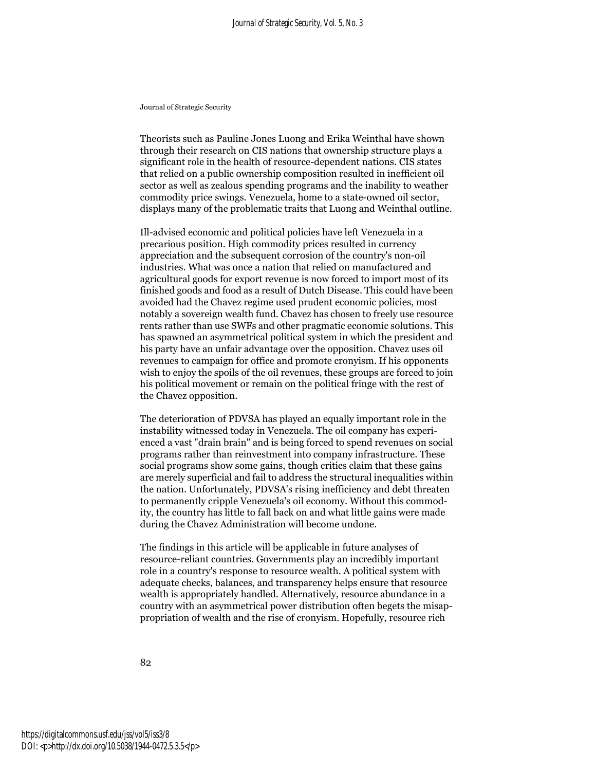Theorists such as Pauline Jones Luong and Erika Weinthal have shown through their research on CIS nations that ownership structure plays a significant role in the health of resource-dependent nations. CIS states that relied on a public ownership composition resulted in inefficient oil sector as well as zealous spending programs and the inability to weather commodity price swings. Venezuela, home to a state-owned oil sector, displays many of the problematic traits that Luong and Weinthal outline.

Ill-advised economic and political policies have left Venezuela in a precarious position. High commodity prices resulted in currency appreciation and the subsequent corrosion of the country's non-oil industries. What was once a nation that relied on manufactured and agricultural goods for export revenue is now forced to import most of its finished goods and food as a result of Dutch Disease. This could have been avoided had the Chavez regime used prudent economic policies, most notably a sovereign wealth fund. Chavez has chosen to freely use resource rents rather than use SWFs and other pragmatic economic solutions. This has spawned an asymmetrical political system in which the president and his party have an unfair advantage over the opposition. Chavez uses oil revenues to campaign for office and promote cronyism. If his opponents wish to enjoy the spoils of the oil revenues, these groups are forced to join his political movement or remain on the political fringe with the rest of the Chavez opposition.

The deterioration of PDVSA has played an equally important role in the instability witnessed today in Venezuela. The oil company has experienced a vast "drain brain" and is being forced to spend revenues on social programs rather than reinvestment into company infrastructure. These social programs show some gains, though critics claim that these gains are merely superficial and fail to address the structural inequalities within the nation. Unfortunately, PDVSA's rising inefficiency and debt threaten to permanently cripple Venezuela's oil economy. Without this commodity, the country has little to fall back on and what little gains were made during the Chavez Administration will become undone.

The findings in this article will be applicable in future analyses of resource-reliant countries. Governments play an incredibly important role in a country's response to resource wealth. A political system with adequate checks, balances, and transparency helps ensure that resource wealth is appropriately handled. Alternatively, resource abundance in a country with an asymmetrical power distribution often begets the misappropriation of wealth and the rise of cronyism. Hopefully, resource rich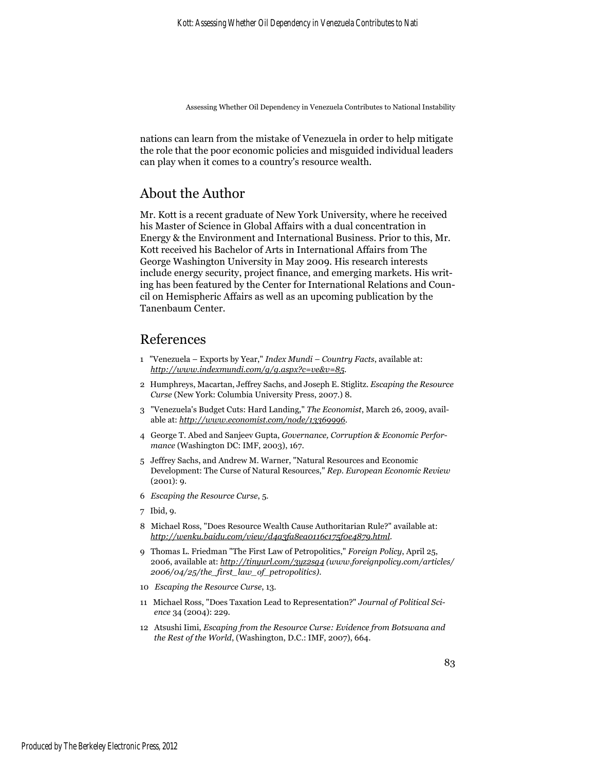nations can learn from the mistake of Venezuela in order to help mitigate the role that the poor economic policies and misguided individual leaders can play when it comes to a country's resource wealth.

## About the Author

Mr. Kott is a recent graduate of New York University, where he received his Master of Science in Global Affairs with a dual concentration in Energy & the Environment and International Business. Prior to this, Mr. Kott received his Bachelor of Arts in International Affairs from The George Washington University in May 2009. His research interests include energy security, project finance, and emerging markets. His writing has been featured by the Center for International Relations and Council on Hemispheric Affairs as well as an upcoming publication by the Tanenbaum Center.

## References

- 1 "Venezuela Exports by Year," *Index Mundi Country Facts*, available at: *http://www.indexmundi.com/g/g.aspx?c=ve&v=85*.
- 2 Humphreys, Macartan, Jeffrey Sachs, and Joseph E. Stiglitz. *Escaping the Resource Curse* (New York: Columbia University Press, 2007.) 8.
- 3 "Venezuela's Budget Cuts: Hard Landing," *The Economist*, March 26, 2009, available at: *http://www.economist.com/node/13369996*.
- 4 George T. Abed and Sanjeev Gupta, *Governance, Corruption & Economic Performance* (Washington DC: IMF, 2003), 167.
- 5 Jeffrey Sachs, and Andrew M. Warner, "Natural Resources and Economic Development: The Curse of Natural Resources," *Rep. European Economic Review* (2001): 9.
- 6 *Escaping the Resource Curse*, 5.
- 7 Ibid, 9.
- 8 Michael Ross, "Does Resource Wealth Cause Authoritarian Rule?" available at: *http://wenku.baidu.com/view/d4a3fa8ea0116c175f0e4879.html*.
- 9 Thomas L. Friedman "The First Law of Petropolitics," *Foreign Policy*, April 25, 2006, available at: *http://tinyurl.com/3yz2sg4 (www.foreignpolicy.com/articles/ 2006/04/25/the\_first\_law\_of\_petropolitics)*.
- 10 *Escaping the Resource Curse*, 13.
- 11 Michael Ross, "Does Taxation Lead to Representation?" *Journal of Political Science* 34 (2004): 229.
- 12 Atsushi Iimi, *Escaping from the Resource Curse: Evidence from Botswana and the Rest of the World*, (Washington, D.C.: IMF, 2007), 664.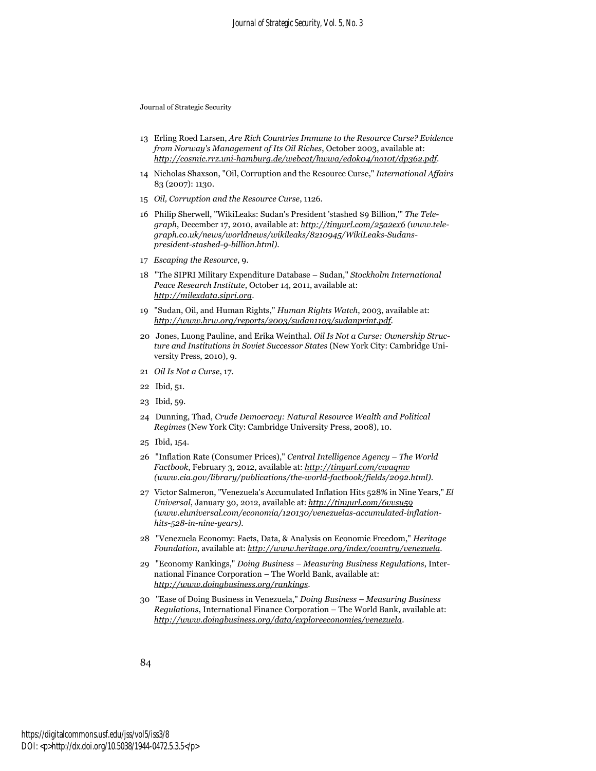- 13 Erling Roed Larsen, *Are Rich Countries Immune to the Resource Curse? Evidence from Norway's Management of Its Oil Riches*, October 2003, available at: *http://cosmic.rrz.uni-hamburg.de/webcat/hwwa/edok04/no10t/dp362.pdf*.
- 14 Nicholas Shaxson, "Oil, Corruption and the Resource Curse," *International Affairs* 83 (2007): 1130.
- 15 *Oil, Corruption and the Resource Curse*, 1126.
- 16 Philip Sherwell, "WikiLeaks: Sudan's President 'stashed \$9 Billion,'" *The Telegraph*, December 17, 2010, available at: *http://tinyurl.com/25a2ex6 (www.telegraph.co.uk/news/worldnews/wikileaks/8210945/WikiLeaks-Sudanspresident-stashed-9-billion.html)*.
- 17 *Escaping the Resource*, 9.
- 18 "The SIPRI Military Expenditure Database Sudan," *Stockholm International Peace Research Institute*, October 14, 2011, available at: *http://milexdata.sipri.org*.
- 19 "Sudan, Oil, and Human Rights," *Human Rights Watch*, 2003, available at: *http://www.hrw.org/reports/2003/sudan1103/sudanprint.pdf*.
- 20 Jones, Luong Pauline, and Erika Weinthal. *Oil Is Not a Curse: Ownership Structure and Institutions in Soviet Successor States* (New York City: Cambridge University Press, 2010), 9.
- 21 *Oil Is Not a Curse*, 17.
- 22 Ibid, 51.
- 23 Ibid, 59.
- 24 Dunning, Thad, *Crude Democracy: Natural Resource Wealth and Political Regimes* (New York City: Cambridge University Press, 2008), 10.
- 25 Ibid, 154.
- 26 "Inflation Rate (Consumer Prices)," *Central Intelligence Agency The World Factbook*, February 3, 2012, available at: *http://tinyurl.com/cwaqmv (www.cia.gov/library/publications/the-world-factbook/fields/2092.html)*.
- 27 Victor Salmeron, "Venezuela's Accumulated Inflation Hits 528% in Nine Years," *El Universal*, January 30, 2012, available at: *http://tinyurl.com/6vvsu59 (www.eluniversal.com/economia/120130/venezuelas-accumulated-inflationhits-528-in-nine-years)*.
- 28 "Venezuela Economy: Facts, Data, & Analysis on Economic Freedom," *Heritage Foundation*, available at: *http://www.heritage.org/index/country/venezuela*.
- 29 "Economy Rankings," *Doing Business Measuring Business Regulations*, International Finance Corporation – The World Bank, available at: *http://www.doingbusiness.org/rankings*.
- 30 "Ease of Doing Business in Venezuela," *Doing Business Measuring Business Regulations*, International Finance Corporation – The World Bank, available at: *http://www.doingbusiness.org/data/exploreeconomies/venezuela*.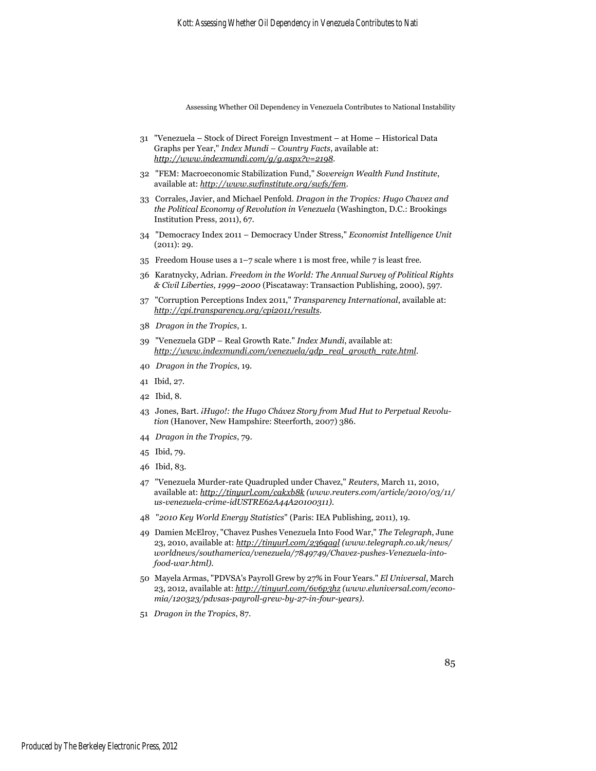- 31 "Venezuela Stock of Direct Foreign Investment at Home Historical Data Graphs per Year," *Index Mundi – Country Facts*, available at: *http://www.indexmundi.com/g/g.aspx?v=2198*.
- 32 "FEM: Macroeconomic Stabilization Fund," *Sovereign Wealth Fund Institute*, available at: *http://www.swfinstitute.org/swfs/fem*.
- 33 Corrales, Javier, and Michael Penfold. *Dragon in the Tropics: Hugo Chavez and the Political Economy of Revolution in Venezuela* (Washington, D.C.: Brookings Institution Press, 2011), 67.
- 34 "Democracy Index 2011 Democracy Under Stress," *Economist Intelligence Unit* (2011): 29.
- 35 Freedom House uses a 1–7 scale where 1 is most free, while 7 is least free.
- 36 Karatnycky, Adrian. *Freedom in the World: The Annual Survey of Political Rights & Civil Liberties, 1999–2000* (Piscataway: Transaction Publishing, 2000), 597.
- 37 "Corruption Perceptions Index 2011," *Transparency International*, available at: *http://cpi.transparency.org/cpi2011/results*.
- 38 *Dragon in the Tropics*, 1.
- 39 "Venezuela GDP Real Growth Rate." *Index Mundi*, available at: *http://www.indexmundi.com/venezuela/gdp\_real\_growth\_rate.html*.
- 40 *Dragon in the Tropics*, 19.
- 41 Ibid, 27.
- 42 Ibid, 8.
- 43 Jones, Bart. *iHugo!: the Hugo Chávez Story from Mud Hut to Perpetual Revolution* (Hanover, New Hampshire: Steerforth, 2007) 386.
- 44 *Dragon in the Tropics*, 79.
- 45 Ibid, 79.
- 46 Ibid, 83.
- 47 "Venezuela Murder-rate Quadrupled under Chavez," *Reuters*, March 11, 2010, available at: *http://tinyurl.com/cakxb8k (www.reuters.com/article/2010/03/11/ us-venezuela-crime-idUSTRE62A44A20100311)*.
- 48 "*2010 Key World Energy Statistics*" (Paris: IEA Publishing, 2011), 19.
- 49 Damien McElroy, "Chavez Pushes Venezuela Into Food War," *The Telegraph*, June 23, 2010, available at: *http://tinyurl.com/236qagl (www.telegraph.co.uk/news/ worldnews/southamerica/venezuela/7849749/Chavez-pushes-Venezuela-intofood-war.html)*.
- 50 Mayela Armas, "PDVSA's Payroll Grew by 27% in Four Years." *El Universal*, March 23, 2012, available at: *http://tinyurl.com/6v6p3hz (www.eluniversal.com/economia/120323/pdvsas-payroll-grew-by-27-in-four-years)*.
- 51 *Dragon in the Tropics*, 87.